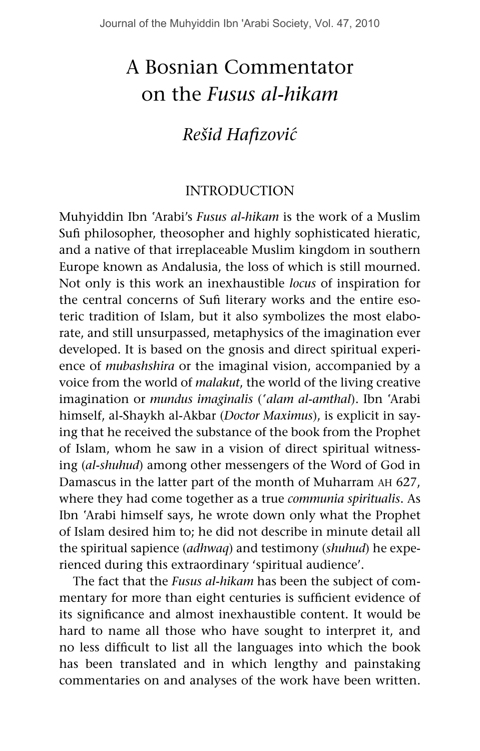# A Bosnian Commentator on the *Fusus al-hikam*

# *Rešid Hafizovi´c*

## **INTRODUCTION**

Muhyiddin Ibn ªArabi's *Fusus al-hikam* is the work of a Muslim Sufi philosopher, theosopher and highly sophisticated hieratic, and a native of that irreplaceable Muslim kingdom in southern Europe known as Andalusia, the loss of which is still mourned. Not only is this work an inexhaustible *locus* of inspiration for the central concerns of Sufi literary works and the entire esoteric tradition of Islam, but it also symbolizes the most elaborate, and still unsurpassed, metaphysics of the imagination ever developed. It is based on the gnosis and direct spiritual experience of *mubashshira* or the imaginal vision, accompanied by a voice from the world of *malakut*, the world of the living creative imagination or *mundus imaginalis* (*ªalam al-amthal*). Ibn ªArabi himself, al-Shaykh al-Akbar (*Doctor Maximus*), is explicit in saying that he received the substance of the book from the Prophet of Islam, whom he saw in a vision of direct spiritual witnessing (*al-shuhud*) among other messengers of the Word of God in Damascus in the latter part of the month of Muharram ah 627, where they had come together as a true *communia spiritualis*. As Ibn ªArabi himself says, he wrote down only what the Prophet of Islam desired him to; he did not describe in minute detail all the spiritual sapience (*adhwaq*) and testimony (*shuhud*) he experienced during this extraordinary 'spiritual audience'.

The fact that the *Fusus al-hikam* has been the subject of commentary for more than eight centuries is sufficient evidence of its significance and almost inexhaustible content. It would be hard to name all those who have sought to interpret it, and no less difficult to list all the languages into which the book has been translated and in which lengthy and painstaking commentaries on and analyses of the work have been written.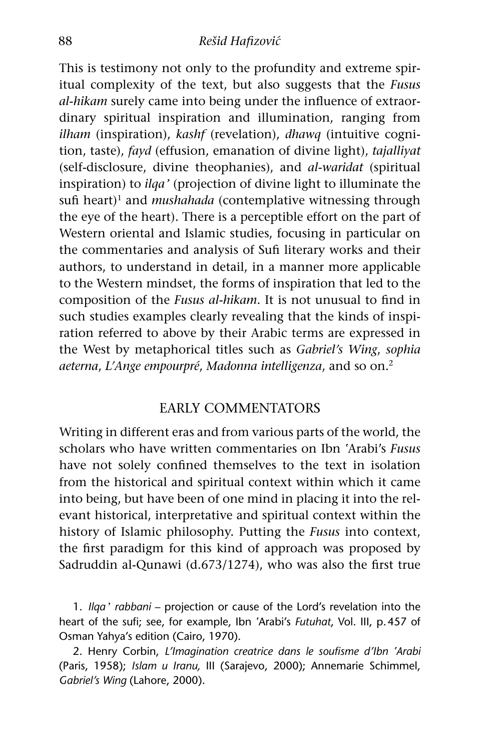#### 88 *Rešid Hafizovi´c*

This is testimony not only to the profundity and extreme spiritual complexity of the text, but also suggests that the *Fusus al-hikam* surely came into being under the influence of extraordinary spiritual inspiration and illumination, ranging from *ilham* (inspiration), *kashf* (revelation), *dhawq* (intuitive cognition, taste), *fayd* (effusion, emanation of divine light), *tajalliyat*  (self-disclosure, divine theophanies), and *al-waridat* (spiritual inspiration) to *ilqaº* (projection of divine light to illuminate the sufi heart)<sup>1</sup> and *mushahada* (contemplative witnessing through the eye of the heart). There is a perceptible effort on the part of Western oriental and Islamic studies, focusing in particular on the commentaries and analysis of Sufi literary works and their authors, to understand in detail, in a manner more applicable to the Western mindset, the forms of inspiration that led to the composition of the *Fusus al-hikam*. It is not unusual to find in such studies examples clearly revealing that the kinds of inspiration referred to above by their Arabic terms are expressed in the West by metaphorical titles such as *Gabriel's Wing*, *sophia aeterna*, *L'Ange empourpré*, *Madonna intelligenza*, and so on.2

#### Early Commentators

Writing in different eras and from various parts of the world, the scholars who have written commentaries on Ibn ªArabi's *Fusus* have not solely confined themselves to the text in isolation from the historical and spiritual context within which it came into being, but have been of one mind in placing it into the relevant historical, interpretative and spiritual context within the history of Islamic philosophy. Putting the *Fusus* into context, the first paradigm for this kind of approach was proposed by Sadruddin al-Qunawi (d.673/1274), who was also the first true

1. *Ilqaº rabbani* – projection or cause of the Lord's revelation into the heart of the sufi; see, for example, Ibn ªArabi's *Futuhat*, Vol. III, p.457 of Osman Yahya's edition (Cairo, 1970).

2. Henry Corbin, *L'Imagination creatrice dans le soufisme d'Ibn ªArabi*  (Paris, 1958); *Islam u Iranu,* III (Sarajevo, 2000); Annemarie Schimmel, *Gabriel's Wing* (Lahore, 2000).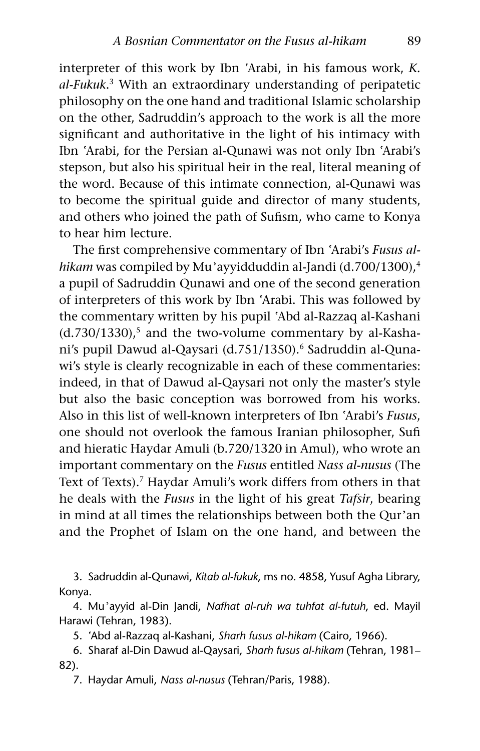interpreter of this work by Ibn ªArabi, in his famous work, *K. al-Fukuk*. 3 With an extraordinary understanding of peripatetic philosophy on the one hand and traditional Islamic scholarship on the other, Sadruddin's approach to the work is all the more significant and authoritative in the light of his intimacy with Ibn 'Arabi, for the Persian al-Qunawi was not only Ibn 'Arabi's stepson, but also his spiritual heir in the real, literal meaning of the word. Because of this intimate connection, al-Qunawi was to become the spiritual guide and director of many students, and others who joined the path of Sufism, who came to Konya to hear him lecture.

The first comprehensive commentary of Ibn ªArabi's *Fusus alhikam* was compiled by Mu'ayyidduddin al-Jandi (d.700/1300),<sup>4</sup> a pupil of Sadruddin Qunawi and one of the second generation of interpreters of this work by Ibn ªArabi. This was followed by the commentary written by his pupil ªAbd al-Razzaq al-Kashani  $(d.730/1330)$ ,<sup>5</sup> and the two-volume commentary by al-Kashani's pupil Dawud al-Qaysari (d.751/1350).<sup>6</sup> Sadruddin al-Qunawi's style is clearly recognizable in each of these commentaries: indeed, in that of Dawud al-Qaysari not only the master's style but also the basic conception was borrowed from his works. Also in this list of well-known interpreters of Ibn ªArabi's *Fusus*, one should not overlook the famous Iranian philosopher, Sufi and hieratic Haydar Amuli (b.720/1320 in Amul), who wrote an important commentary on the *Fusus* entitled *Nass al-nusus* (The Text of Texts).<sup>7</sup> Haydar Amuli's work differs from others in that he deals with the *Fusus* in the light of his great *Tafsir*, bearing in mind at all times the relationships between both the Qur'an and the Prophet of Islam on the one hand, and between the

3. Sadruddin al-Qunawi, *Kitab al-fukuk*, ms no. 4858, Yusuf Agha Library, Konya.

4. Muºayyid al-Din Jandi, *Nafhat al-ruh wa tuhfat al-futuh*, ed. Mayil Harawi (Tehran, 1983).

5. ªAbd al-Razzaq al-Kashani, *Sharh fusus al-hikam* (Cairo, 1966).

6. Sharaf al-Din Dawud al-Qaysari, *Sharh fusus al-hikam* (Tehran, 1981– 82).

7. Haydar Amuli, *Nass al-nusus* (Tehran/Paris, 1988).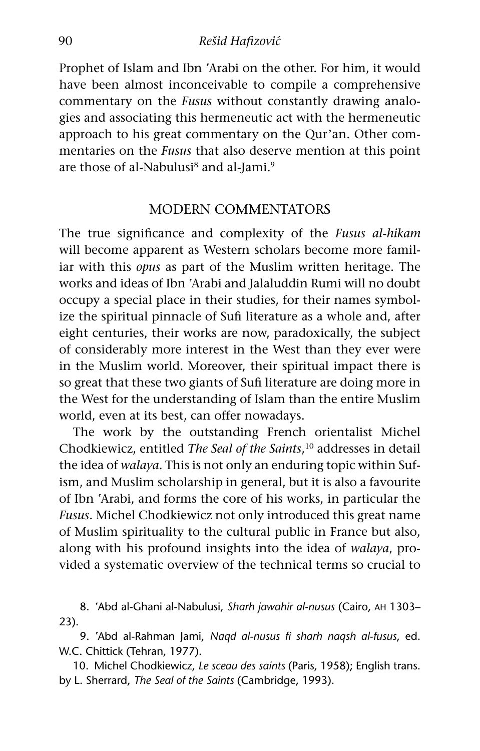Prophet of Islam and Ibn 'Arabi on the other. For him, it would have been almost inconceivable to compile a comprehensive commentary on the *Fusus* without constantly drawing analogies and associating this hermeneutic act with the hermeneutic approach to his great commentary on the Qur'an. Other commentaries on the *Fusus* that also deserve mention at this point are those of al-Nabulusi<sup>8</sup> and al-Jami.<sup>9</sup>

#### Modern Commentators

The true significance and complexity of the *Fusus al-hikam* will become apparent as Western scholars become more familiar with this *opus* as part of the Muslim written heritage. The works and ideas of Ibn ªArabi and Jalaluddin Rumi will no doubt occupy a special place in their studies, for their names symbolize the spiritual pinnacle of Sufi literature as a whole and, after eight centuries, their works are now, paradoxically, the subject of considerably more interest in the West than they ever were in the Muslim world. Moreover, their spiritual impact there is so great that these two giants of Sufi literature are doing more in the West for the understanding of Islam than the entire Muslim world, even at its best, can offer nowadays.

The work by the outstanding French orientalist Michel Chodkiewicz, entitled *The Seal of the Saints*, 10 addresses in detail the idea of *walaya.* This is not only an enduring topic within Sufism, and Muslim scholarship in general, but it is also a favourite of Ibn ªArabi, and forms the core of his works, in particular the *Fusus*. Michel Chodkiewicz not only introduced this great name of Muslim spirituality to the cultural public in France but also, along with his profound insights into the idea of *walaya*, provided a systematic overview of the technical terms so crucial to

8. ªAbd al-Ghani al-Nabulusi, *Sharh jawahir al-nusus* (Cairo, ah 1303– 23).

9. ªAbd al-Rahman Jami, *Naqd al-nusus fi sharh naqsh al-fusus*, ed. W.C. Chittick (Tehran, 1977).

10. Michel Chodkiewicz, *Le sceau des saints* (Paris, 1958); English trans. by L. Sherrard, *The Seal of the Saints* (Cambridge, 1993).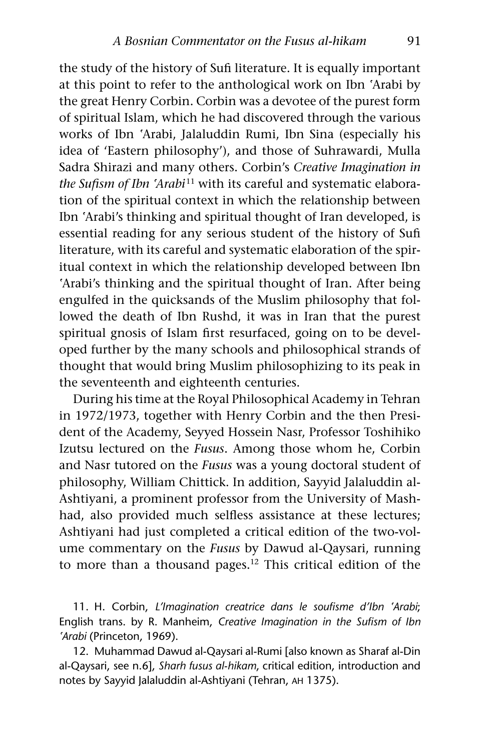the study of the history of Sufi literature. It is equally important at this point to refer to the anthological work on Ibn ªArabi by the great Henry Corbin. Corbin was a devotee of the purest form of spiritual Islam, which he had discovered through the various works of Ibn ªArabi, Jalaluddin Rumi, Ibn Sina (especially his idea of 'Eastern philosophy'), and those of Suhrawardi, Mulla Sadra Shirazi and many others. Corbin's *Creative Imagination in the Sufism of Ibn ªArabi*11 with its careful and systematic elaboration of the spiritual context in which the relationship between Ibn ªArabi's thinking and spiritual thought of Iran developed, is essential reading for any serious student of the history of Sufi literature, with its careful and systematic elaboration of the spiritual context in which the relationship developed between Ibn 'Arabi's thinking and the spiritual thought of Iran. After being engulfed in the quicksands of the Muslim philosophy that followed the death of Ibn Rushd, it was in Iran that the purest spiritual gnosis of Islam first resurfaced, going on to be developed further by the many schools and philosophical strands of thought that would bring Muslim philosophizing to its peak in the seventeenth and eighteenth centuries.

During his time at the Royal Philosophical Academy in Tehran in 1972/1973, together with Henry Corbin and the then President of the Academy, Seyyed Hossein Nasr, Professor Toshihiko Izutsu lectured on the *Fusus*. Among those whom he, Corbin and Nasr tutored on the *Fusus* was a young doctoral student of philosophy, William Chittick. In addition, Sayyid Jalaluddin al-Ashtiyani, a prominent professor from the University of Mashhad, also provided much selfless assistance at these lectures; Ashtiyani had just completed a critical edition of the two-volume commentary on the *Fusus* by Dawud al-Qaysari, running to more than a thousand pages.<sup>12</sup> This critical edition of the

11. H. Corbin, *L'Imagination creatrice dans le soufisme d'Ibn ªArabi*; English trans. by R. Manheim, *Creative Imagination in the Sufism of Ibn ªArabi* (Princeton, 1969).

12. Muhammad Dawud al-Qaysari al-Rumi [also known as Sharaf al-Din al-Qaysari, see n.6], *Sharh fusus al-hikam*, critical edition, introduction and notes by Sayyid Jalaluddin al-Ashtiyani (Tehran, ah 1375).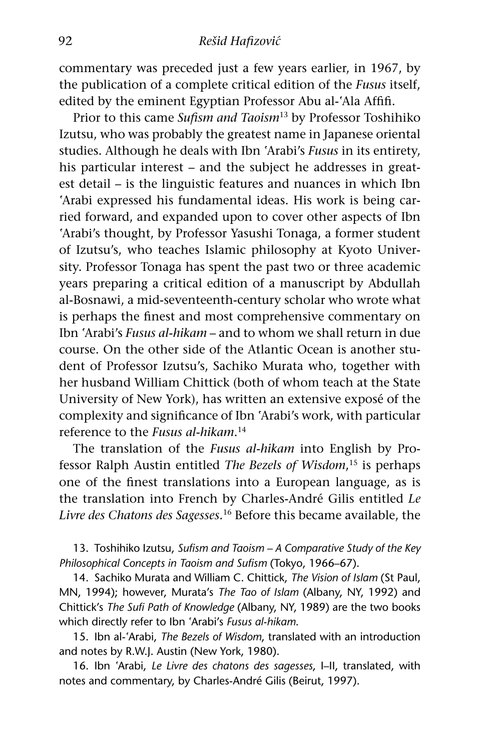commentary was preceded just a few years earlier, in 1967, by the publication of a complete critical edition of the *Fusus* itself, edited by the eminent Egyptian Professor Abu al-'Ala Affifi.

Prior to this came *Sufism and Taoism*13 by Professor Toshihiko Izutsu, who was probably the greatest name in Japanese oriental studies. Although he deals with Ibn ªArabi's *Fusus* in its entirety, his particular interest – and the subject he addresses in greatest detail – is the linguistic features and nuances in which Ibn 'Arabi expressed his fundamental ideas. His work is being carried forward, and expanded upon to cover other aspects of Ibn 'Arabi's thought, by Professor Yasushi Tonaga, a former student of Izutsu's, who teaches Islamic philosophy at Kyoto University. Professor Tonaga has spent the past two or three academic years preparing a critical edition of a manuscript by Abdullah al-Bosnawi, a mid-seventeenth-century scholar who wrote what is perhaps the finest and most comprehensive commentary on Ibn ªArabi's *Fusus al-hikam* – and to whom we shall return in due course. On the other side of the Atlantic Ocean is another student of Professor Izutsu's, Sachiko Murata who, together with her husband William Chittick (both of whom teach at the State University of New York), has written an extensive exposé of the complexity and significance of Ibn ªArabi's work, with particular reference to the *Fusus al-hikam*. 14

The translation of the *Fusus al-hikam* into English by Professor Ralph Austin entitled *The Bezels of Wisdom*, 15 is perhaps one of the finest translations into a European language, as is the translation into French by Charles-André Gilis entitled *Le Livre des Chatons des Sagesses.*16 Before this became available, the

13. Toshihiko Izutsu, *Sufism and Taoism – A Comparative Study of the Key Philosophical Concepts in Taoism and Sufism* (Tokyo, 1966–67).

14. Sachiko Murata and William C. Chittick, *The Vision of Islam* (St Paul, MN, 1994); however, Murata's *The Tao of Islam* (Albany, NY, 1992) and Chittick's *The Sufi Path of Knowledge* (Albany, NY, 1989) are the two books which directly refer to Ibn ªArabi's *Fusus al-hikam*.

15. Ibn al-ªArabi, *The Bezels of Wisdom*, translated with an introduction and notes by R.W.J. Austin (New York, 1980).

16. Ibn ªArabi, *Le Livre des chatons des sagesses*, I–II, translated, with notes and commentary, by Charles-André Gilis (Beirut, 1997).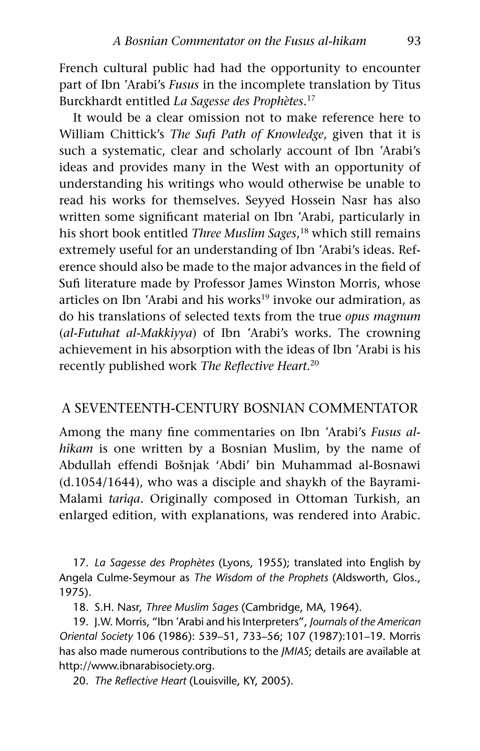French cultural public had had the opportunity to encounter part of Ibn ªArabi's *Fusus* in the incomplete translation by Titus Burckhardt entitled *La Sagesse des Prophètes*. 17

It would be a clear omission not to make reference here to William Chittick's *The Sufi Path of Knowledge*, given that it is such a systematic, clear and scholarly account of Ibn 'Arabi's ideas and provides many in the West with an opportunity of understanding his writings who would otherwise be unable to read his works for themselves. Seyyed Hossein Nasr has also written some significant material on Ibn ªArabi, particularly in his short book entitled *Three Muslim Sages*, 18 which still remains extremely useful for an understanding of Ibn ªArabi's ideas. Reference should also be made to the major advances in the field of Sufi literature made by Professor James Winston Morris, whose articles on Ibn 'Arabi and his works<sup>19</sup> invoke our admiration, as do his translations of selected texts from the true *opus magnum* (*al-Futuhat al-Makkiyya*) of Ibn ªArabi's works. The crowning achievement in his absorption with the ideas of Ibn ªArabi is his recently published work *The Reflective Heart*. 20

#### A Seventeenth-Century Bosnian Commentator

Among the many fine commentaries on Ibn ªArabi's *Fusus alhikam* is one written by a Bosnian Muslim, by the name of Abdullah effendi Bošnjak 'Abdi' bin Muhammad al-Bosnawi (d.1054/1644), who was a disciple and shaykh of the Bayrami-Malami *tariqa*. Originally composed in Ottoman Turkish, an enlarged edition, with explanations, was rendered into Arabic.

17. *La Sagesse des Prophètes* (Lyons, 1955); translated into English by Angela Culme-Seymour as *The Wisdom of the Prophets* (Aldsworth, Glos., 1975).

18. S.H. Nasr, *Three Muslim Sages* (Cambridge, MA, 1964).

19. J.W. Morris, "Ibn ªArabi and his Interpreters", *Journals of the American Oriental Society* 106 (1986): 539–51, 733–56; 107 (1987):101–19. Morris has also made numerous contributions to the *JMIAS*; details are available at http://www.ibnarabisociety.org.

20. *The Reflective Heart* (Louisville, KY, 2005).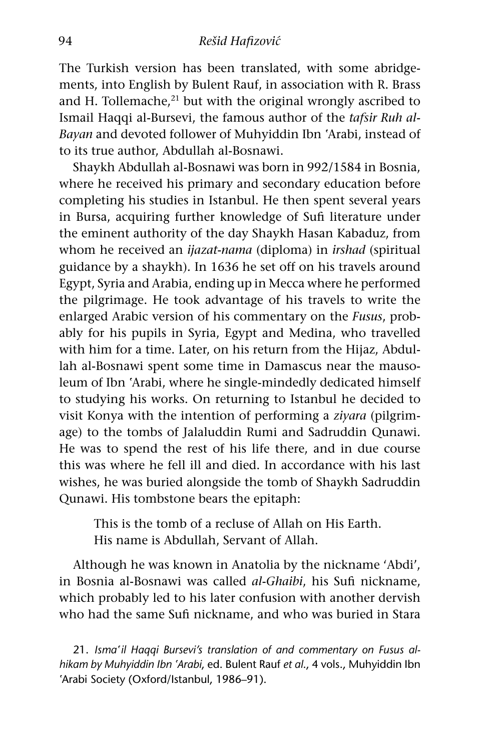The Turkish version has been translated, with some abridgements, into English by Bulent Rauf, in association with R. Brass and H. Tollemache, $21$  but with the original wrongly ascribed to Ismail Haqqi al-Bursevi, the famous author of the *tafsir Ruh al-Bayan* and devoted follower of Muhyiddin Ibn ªArabi, instead of to its true author, Abdullah al-Bosnawi.

Shaykh Abdullah al-Bosnawi was born in 992/1584 in Bosnia, where he received his primary and secondary education before completing his studies in Istanbul. He then spent several years in Bursa, acquiring further knowledge of Sufi literature under the eminent authority of the day Shaykh Hasan Kabaduz, from whom he received an *ijazat*-*nama* (diploma) in *irshad* (spiritual guidance by a shaykh)*.* In 1636 he set off on his travels around Egypt, Syria and Arabia, ending up in Mecca where he performed the pilgrimage. He took advantage of his travels to write the enlarged Arabic version of his commentary on the *Fusus*, probably for his pupils in Syria, Egypt and Medina, who travelled with him for a time. Later, on his return from the Hijaz, Abdullah al-Bosnawi spent some time in Damascus near the mausoleum of Ibn ªArabi, where he single-mindedly dedicated himself to studying his works. On returning to Istanbul he decided to visit Konya with the intention of performing a *ziyara* (pilgrimage) to the tombs of Jalaluddin Rumi and Sadruddin Qunawi. He was to spend the rest of his life there, and in due course this was where he fell ill and died. In accordance with his last wishes, he was buried alongside the tomb of Shaykh Sadruddin Qunawi. His tombstone bears the epitaph:

This is the tomb of a recluse of Allah on His Earth. His name is Abdullah, Servant of Allah.

Although he was known in Anatolia by the nickname 'Abdi', in Bosnia al-Bosnawi was called *al*-*Ghaibi*, his Sufi nickname, which probably led to his later confusion with another dervish who had the same Sufi nickname, and who was buried in Stara

21. *Ismaªil Haqqi Bursevi's translation of and commentary on Fusus alhikam by Muhyiddin Ibn ªArabi*, ed. Bulent Rauf *et al*., 4 vols., Muhyiddin Ibn 'Arabi Society (Oxford/Istanbul, 1986–91).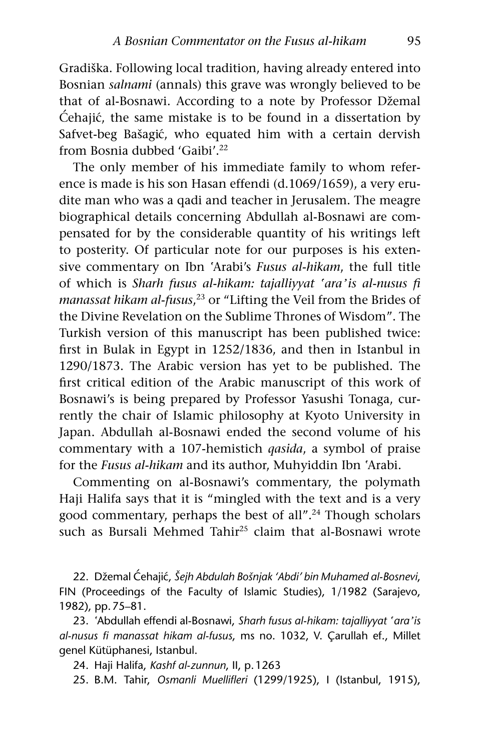Gradiška. Following local tradition, having already entered into Bosnian *salnami* (annals) this grave was wrongly believed to be that of al-Bosnawi. According to a note by Professor Džemal  $\acute{c}$ ehajić, the same mistake is to be found in a dissertation by Safvet-beg Bašagić, who equated him with a certain dervish from Bosnia dubbed 'Gaibi'.<sup>22</sup>

The only member of his immediate family to whom reference is made is his son Hasan effendi (d.1069/1659), a very erudite man who was a qadi and teacher in Jerusalem. The meagre biographical details concerning Abdullah al-Bosnawi are compensated for by the considerable quantity of his writings left to posterity. Of particular note for our purposes is his extensive commentary on Ibn ªArabi's *Fusus al-hikam*, the full title of which is *Sharh fusus al-hikam: tajalliyyat ªaraºis al-nusus fi manassat hikam al-fusus*, <sup>23</sup> or "Lifting the Veil from the Brides of the Divine Revelation on the Sublime Thrones of Wisdom". The Turkish version of this manuscript has been published twice: first in Bulak in Egypt in 1252/1836, and then in Istanbul in 1290/1873. The Arabic version has yet to be published. The first critical edition of the Arabic manuscript of this work of Bosnawi's is being prepared by Professor Yasushi Tonaga, currently the chair of Islamic philosophy at Kyoto University in Japan. Abdullah al-Bosnawi ended the second volume of his commentary with a 107-hemistich *qasida*, a symbol of praise for the *Fusus al-hikam* and its author, Muhyiddin Ibn ªArabi.

Commenting on al-Bosnawi's commentary, the polymath Haji Halifa says that it is "mingled with the text and is a very good commentary, perhaps the best of all".24 Though scholars such as Bursali Mehmed Tahir<sup>25</sup> claim that al-Bosnawi wrote

22. Džemal C´ehaji´c, *Šejh Abdulah Bošnjak 'Abdi' bin Muhamed al-Bosnevi*, FIN (Proceedings of the Faculty of Islamic Studies), 1/1982 (Sarajevo, 1982), pp.75–81.

23. ªAbdullah effendi al-Bosnawi, *Sharh fusus al-hikam: tajalliyyat ªaraºis al-nusus fi manassat hikam al-fusus*, ms no. 1032, V. Çarullah ef., Millet genel Kütüphanesi, Istanbul.

24. Haji Halifa, *Kashf al-zunnun*, II, p.1263

25. B.M. Tahir, *Osmanli Muellifleri* (1299/1925), I (Istanbul, 1915),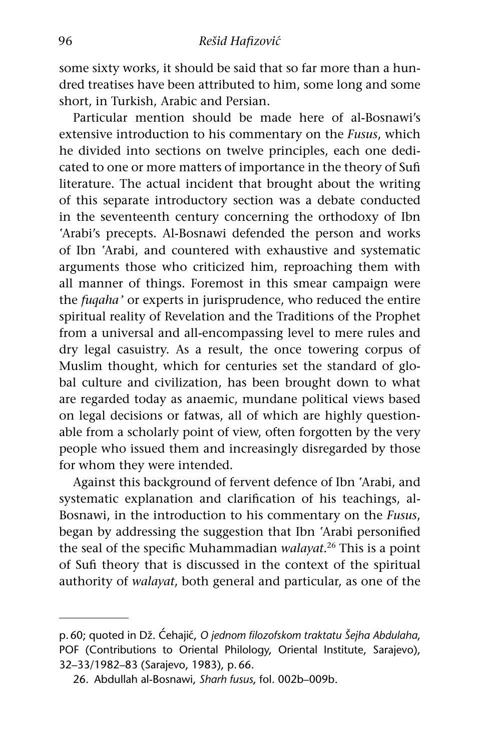some sixty works, it should be said that so far more than a hundred treatises have been attributed to him, some long and some short, in Turkish, Arabic and Persian.

Particular mention should be made here of al-Bosnawi's extensive introduction to his commentary on the *Fusus*, which he divided into sections on twelve principles, each one dedicated to one or more matters of importance in the theory of Sufi literature. The actual incident that brought about the writing of this separate introductory section was a debate conducted in the seventeenth century concerning the orthodoxy of Ibn 'Arabi's precepts. Al-Bosnawi defended the person and works of Ibn ªArabi, and countered with exhaustive and systematic arguments those who criticized him, reproaching them with all manner of things. Foremost in this smear campaign were the *fuqahaº* or experts in jurisprudence, who reduced the entire spiritual reality of Revelation and the Traditions of the Prophet from a universal and all-encompassing level to mere rules and dry legal casuistry. As a result, the once towering corpus of Muslim thought, which for centuries set the standard of global culture and civilization, has been brought down to what are regarded today as anaemic, mundane political views based on legal decisions or fatwas, all of which are highly questionable from a scholarly point of view, often forgotten by the very people who issued them and increasingly disregarded by those for whom they were intended.

Against this background of fervent defence of Ibn ªArabi, and systematic explanation and clarification of his teachings, al-Bosnawi, in the introduction to his commentary on the *Fusus*, began by addressing the suggestion that Ibn ªArabi personified the seal of the specific Muhammadian *walayat*. <sup>26</sup> This is a point of Sufi theory that is discussed in the context of the spiritual authority of *walayat*, both general and particular, as one of the

p. 60; quoted in Dž. Ćehajić, O jednom filozofskom traktatu Šejha Abdulaha, POF (Contributions to Oriental Philology, Oriental Institute, Sarajevo), 32–33/1982–83 (Sarajevo, 1983), p.66.

<sup>26.</sup> Abdullah al-Bosnawi, *Sharh fusus*, fol. 002b–009b.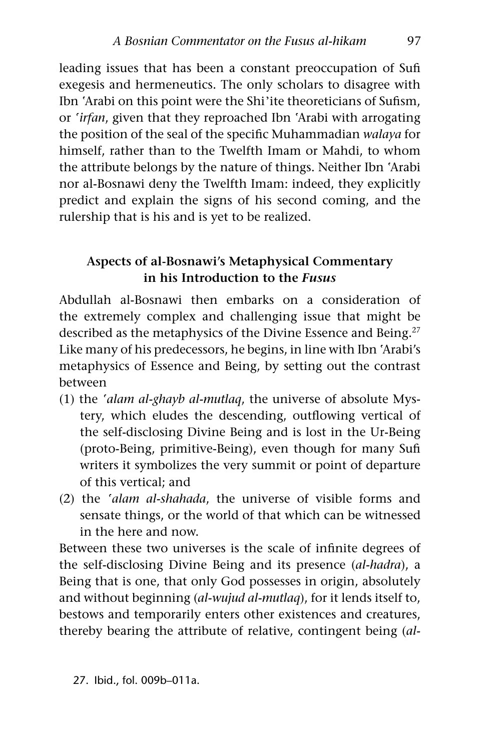leading issues that has been a constant preoccupation of Sufi exegesis and hermeneutics. The only scholars to disagree with Ibn ªArabi on this point were the Shiºite theoreticians of Sufism, or *ªirfan*, given that they reproached Ibn ªArabi with arrogating the position of the seal of the specific Muhammadian *walaya* for himself, rather than to the Twelfth Imam or Mahdi, to whom the attribute belongs by the nature of things. Neither Ibn ªArabi nor al-Bosnawi deny the Twelfth Imam: indeed, they explicitly predict and explain the signs of his second coming, and the rulership that is his and is yet to be realized.

### **Aspects of al-Bosnawi's Metaphysical Commentary in his Introduction to the** *Fusus*

Abdullah al-Bosnawi then embarks on a consideration of the extremely complex and challenging issue that might be described as the metaphysics of the Divine Essence and Being.<sup>27</sup> Like many of his predecessors, he begins, in line with Ibn ªArabi's metaphysics of Essence and Being, by setting out the contrast between

- (1) the *ªalam al-ghayb al-mutlaq*, the universe of absolute Mystery, which eludes the descending, outflowing vertical of the self-disclosing Divine Being and is lost in the Ur-Being (proto-Being, primitive-Being), even though for many Sufi writers it symbolizes the very summit or point of departure of this vertical; and
- (2) the *ªalam al-shahada*, the universe of visible forms and sensate things, or the world of that which can be witnessed in the here and now.

Between these two universes is the scale of infinite degrees of the self-disclosing Divine Being and its presence (*al-hadra*), a Being that is one, that only God possesses in origin, absolutely and without beginning (*al-wujud al-mutlaq*), for it lends itself to, bestows and temporarily enters other existences and creatures, thereby bearing the attribute of relative, contingent being (*al-*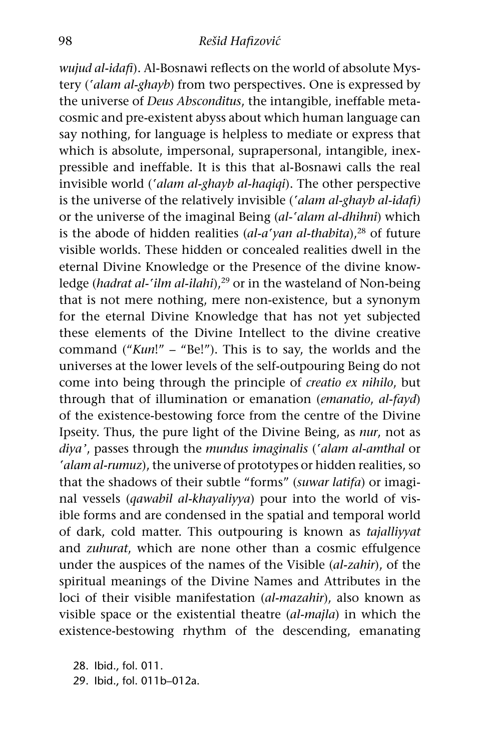*wujud al-idafi*). Al-Bosnawi reflects on the world of absolute Mystery (*ªalam al-ghayb*) from two perspectives. One is expressed by the universe of *Deus Absconditus*, the intangible, ineffable metacosmic and pre-existent abyss about which human language can say nothing, for language is helpless to mediate or express that which is absolute, impersonal, suprapersonal, intangible, inexpressible and ineffable. It is this that al-Bosnawi calls the real invisible world (*ªalam al-ghayb al-haqiqi*). The other perspective is the universe of the relatively invisible (*ªalam al-ghayb al-idafi)*  or the universe of the imaginal Being (*al-ªalam al-dhihni*) which is the abode of hidden realities (al-a'yan al-thabita),<sup>28</sup> of future visible worlds. These hidden or concealed realities dwell in the eternal Divine Knowledge or the Presence of the divine knowledge (*hadrat al-'ilm al-ilahi*),<sup>29</sup> or in the wasteland of Non-being that is not mere nothing, mere non-existence, but a synonym for the eternal Divine Knowledge that has not yet subjected these elements of the Divine Intellect to the divine creative command ("*Kun*!" – "Be!"). This is to say, the worlds and the universes at the lower levels of the self-outpouring Being do not come into being through the principle of *creatio ex nihilo*, but through that of illumination or emanation (*emanatio*, *al*-*fayd*) of the existence-bestowing force from the centre of the Divine Ipseity. Thus, the pure light of the Divine Being, as *nur*, not as *diyaº*, passes through the *mundus imaginalis* (*ªalam al-amthal* or *ªalam al-rumuz*), the universe of prototypes or hidden realities, so that the shadows of their subtle "forms" (*suwar latifa*) or imaginal vessels (*qawabil al-khayaliyya*) pour into the world of visible forms and are condensed in the spatial and temporal world of dark, cold matter. This outpouring is known as *tajalliyyat* and *zuhurat*, which are none other than a cosmic effulgence under the auspices of the names of the Visible (*al-zahir*), of the spiritual meanings of the Divine Names and Attributes in the loci of their visible manifestation (*al-mazahir*), also known as visible space or the existential theatre (*al-majla*) in which the existence-bestowing rhythm of the descending, emanating

28. Ibid., fol. 011. 29. Ibid., fol. 011b–012a.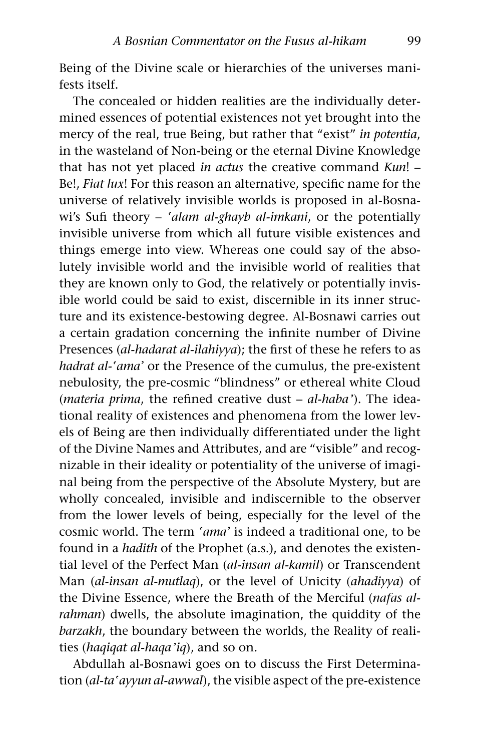Being of the Divine scale or hierarchies of the universes manifests itself.

The concealed or hidden realities are the individually determined essences of potential existences not yet brought into the mercy of the real, true Being, but rather that "exist" *in potentia*, in the wasteland of Non-being or the eternal Divine Knowledge that has not yet placed *in actus* the creative command *Kun*! – Be!, *Fiat lux*! For this reason an alternative, specific name for the universe of relatively invisible worlds is proposed in al-Bosnawi's Sufi theory – *ªalam al-ghayb al-imkani*, or the potentially invisible universe from which all future visible existences and things emerge into view. Whereas one could say of the absolutely invisible world and the invisible world of realities that they are known only to God, the relatively or potentially invisible world could be said to exist, discernible in its inner structure and its existence-bestowing degree. Al-Bosnawi carries out a certain gradation concerning the infinite number of Divine Presences (*al-hadarat al-ilahiyya*); the first of these he refers to as *hadrat al-'ama'* or the Presence of the cumulus, the pre-existent nebulosity, the pre-cosmic "blindness" or ethereal white Cloud (*materia prima*, the refined creative dust - *al-haba*'). The ideational reality of existences and phenomena from the lower levels of Being are then individually differentiated under the light of the Divine Names and Attributes, and are "visible" and recognizable in their ideality or potentiality of the universe of imaginal being from the perspective of the Absolute Mystery, but are wholly concealed, invisible and indiscernible to the observer from the lower levels of being, especially for the level of the cosmic world. The term 'ama' is indeed a traditional one, to be found in a *hadith* of the Prophet (a.s.), and denotes the existential level of the Perfect Man (*al-insan al-kamil*) or Transcendent Man (*al-insan al-mutlaq*), or the level of Unicity (*ahadiyya*) of the Divine Essence, where the Breath of the Merciful (*nafas alrahman*) dwells, the absolute imagination, the quiddity of the *barzakh*, the boundary between the worlds, the Reality of realities (*haqiqat al-haqaºiq*), and so on.

Abdullah al-Bosnawi goes on to discuss the First Determination (*al-taªayyun al-awwal*), the visible aspect of the pre-existence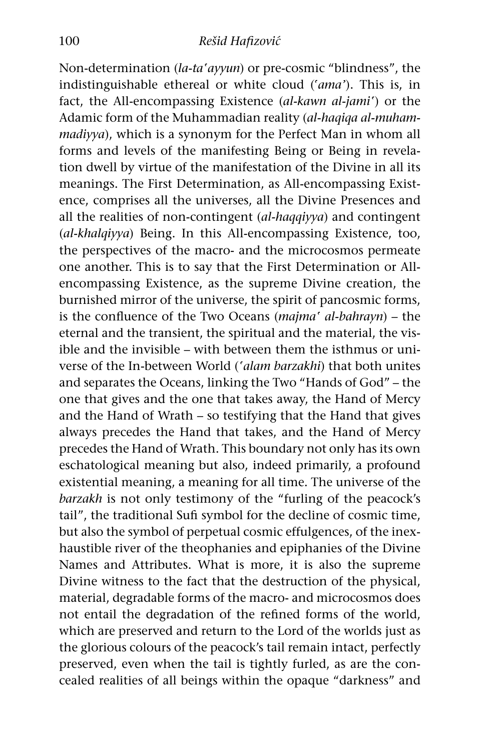Non-determination (*la-taªayyun*) or pre-cosmic "blindness", the indistinguishable ethereal or white cloud (*ªamaº*). This is, in fact, the All-encompassing Existence (*al-kawn al-jamiª*) or the Adamic form of the Muhammadian reality (*al-haqiqa al-muhammadiyya*), which is a synonym for the Perfect Man in whom all forms and levels of the manifesting Being or Being in revelation dwell by virtue of the manifestation of the Divine in all its meanings. The First Determination, as All-encompassing Existence, comprises all the universes, all the Divine Presences and all the realities of non-contingent (*al-haqqiyya*) and contingent (*al-khalqiyya*) Being. In this All-encompassing Existence, too, the perspectives of the macro- and the microcosmos permeate one another. This is to say that the First Determination or Allencompassing Existence, as the supreme Divine creation, the burnished mirror of the universe, the spirit of pancosmic forms, is the confluence of the Two Oceans (*majmaª al-bahrayn*) – the eternal and the transient, the spiritual and the material, the visible and the invisible – with between them the isthmus or universe of the In-between World (*ªalam barzakhi*) that both unites and separates the Oceans, linking the Two "Hands of God" – the one that gives and the one that takes away, the Hand of Mercy and the Hand of Wrath – so testifying that the Hand that gives always precedes the Hand that takes, and the Hand of Mercy precedes the Hand of Wrath. This boundary not only has its own eschatological meaning but also, indeed primarily, a profound existential meaning, a meaning for all time. The universe of the *barzakh* is not only testimony of the "furling of the peacock's tail", the traditional Sufi symbol for the decline of cosmic time, but also the symbol of perpetual cosmic effulgences, of the inexhaustible river of the theophanies and epiphanies of the Divine Names and Attributes. What is more, it is also the supreme Divine witness to the fact that the destruction of the physical, material, degradable forms of the macro- and microcosmos does not entail the degradation of the refined forms of the world, which are preserved and return to the Lord of the worlds just as the glorious colours of the peacock's tail remain intact, perfectly preserved, even when the tail is tightly furled, as are the concealed realities of all beings within the opaque "darkness" and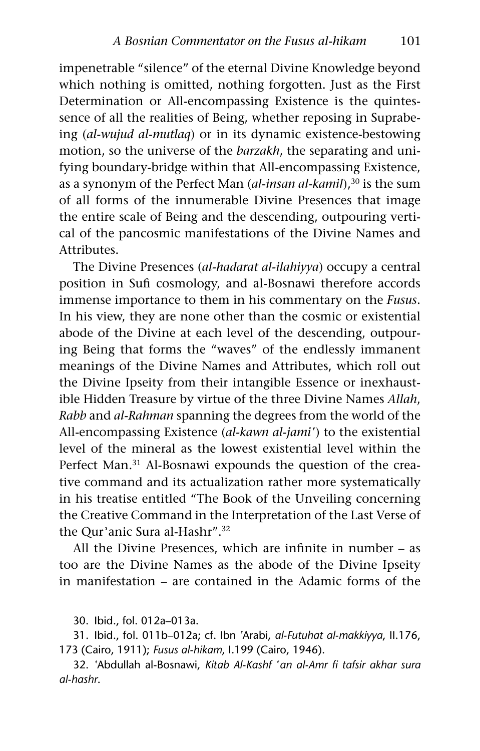impenetrable "silence" of the eternal Divine Knowledge beyond which nothing is omitted, nothing forgotten. Just as the First Determination or All-encompassing Existence is the quintessence of all the realities of Being, whether reposing in Suprabeing (*al-wujud al-mutlaq*) or in its dynamic existence-bestowing motion, so the universe of the *barzakh*, the separating and unifying boundary-bridge within that All-encompassing Existence, as a synonym of the Perfect Man (*al-insan al-kamil*),<sup>30</sup> is the sum of all forms of the innumerable Divine Presences that image the entire scale of Being and the descending, outpouring vertical of the pancosmic manifestations of the Divine Names and Attributes.

The Divine Presences (*al-hadarat al-ilahiyya*) occupy a central position in Sufi cosmology, and al-Bosnawi therefore accords immense importance to them in his commentary on the *Fusus*. In his view, they are none other than the cosmic or existential abode of the Divine at each level of the descending, outpouring Being that forms the "waves" of the endlessly immanent meanings of the Divine Names and Attributes, which roll out the Divine Ipseity from their intangible Essence or inexhaustible Hidden Treasure by virtue of the three Divine Names *Allah*, *Rabb* and *al-Rahman* spanning the degrees from the world of the All-encompassing Existence (*al-kawn al-jamiª*) to the existential level of the mineral as the lowest existential level within the Perfect Man.<sup>31</sup> Al-Bosnawi expounds the question of the creative command and its actualization rather more systematically in his treatise entitled "The Book of the Unveiling concerning the Creative Command in the Interpretation of the Last Verse of the Qur'anic Sura al-Hashr".<sup>32</sup>

All the Divine Presences, which are infinite in number – as too are the Divine Names as the abode of the Divine Ipseity in manifestation – are contained in the Adamic forms of the

30. Ibid., fol. 012a–013a.

31. Ibid., fol. 011b–012a; cf. Ibn ªArabi, *al-Futuhat al-makkiyya*, II.176, 173 (Cairo, 1911); *Fusus al-hikam*, I.199 (Cairo, 1946).

32. ªAbdullah al-Bosnawi, *Kitab Al-Kashf ªan al-Amr fi tafsir akhar sura al-hashr*.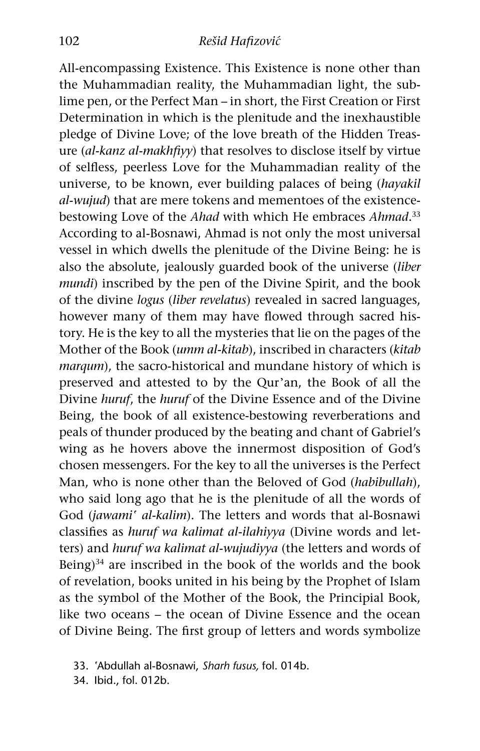All-encompassing Existence. This Existence is none other than the Muhammadian reality, the Muhammadian light, the sublime pen, or the Perfect Man – in short, the First Creation or First Determination in which is the plenitude and the inexhaustible pledge of Divine Love; of the love breath of the Hidden Treasure (*al-kanz al-makhfiyy*) that resolves to disclose itself by virtue of selfless, peerless Love for the Muhammadian reality of the universe, to be known, ever building palaces of being (*hayakil al-wujud*) that are mere tokens and mementoes of the existencebestowing Love of the *Ahad* with which He embraces *Ahmad*. 33 According to al-Bosnawi, Ahmad is not only the most universal vessel in which dwells the plenitude of the Divine Being: he is also the absolute, jealously guarded book of the universe (*liber mundi*) inscribed by the pen of the Divine Spirit, and the book of the divine *logus* (*liber revelatus*) revealed in sacred languages, however many of them may have flowed through sacred history. He is the key to all the mysteries that lie on the pages of the Mother of the Book (*umm al-kitab*), inscribed in characters (*kitab marqum*), the sacro-historical and mundane history of which is preserved and attested to by the Qur'an, the Book of all the Divine *huruf*, the *huruf* of the Divine Essence and of the Divine Being, the book of all existence-bestowing reverberations and peals of thunder produced by the beating and chant of Gabriel's wing as he hovers above the innermost disposition of God's chosen messengers. For the key to all the universes is the Perfect Man, who is none other than the Beloved of God (*habibullah*), who said long ago that he is the plenitude of all the words of God (*jawamiª al-kalim*). The letters and words that al-Bosnawi classifies as *huruf wa kalimat al-ilahiyya* (Divine words and letters) and *huruf wa kalimat al-wujudiyya* (the letters and words of Being) $34$  are inscribed in the book of the worlds and the book of revelation, books united in his being by the Prophet of Islam as the symbol of the Mother of the Book, the Principial Book, like two oceans – the ocean of Divine Essence and the ocean of Divine Being. The first group of letters and words symbolize

34. Ibid., fol. 012b.

<sup>33.</sup> ªAbdullah al-Bosnawi, *Sharh fusus,* fol. 014b.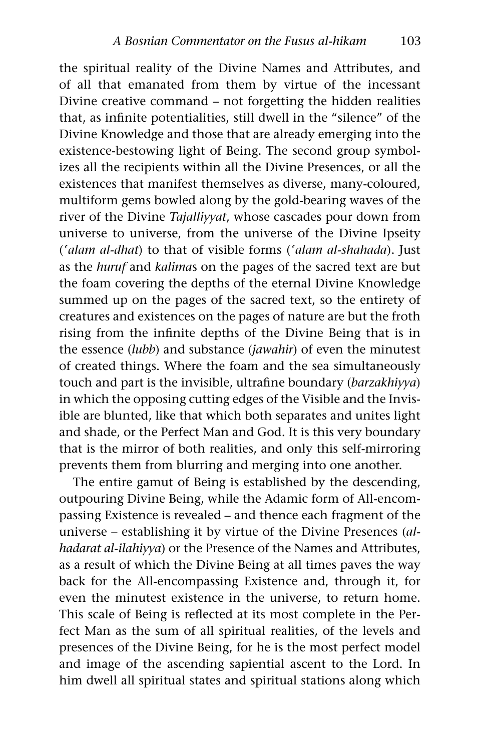the spiritual reality of the Divine Names and Attributes, and of all that emanated from them by virtue of the incessant Divine creative command – not forgetting the hidden realities that, as infinite potentialities, still dwell in the "silence" of the Divine Knowledge and those that are already emerging into the existence-bestowing light of Being. The second group symbolizes all the recipients within all the Divine Presences, or all the existences that manifest themselves as diverse, many-coloured, multiform gems bowled along by the gold-bearing waves of the river of the Divine *Tajalliyyat*, whose cascades pour down from universe to universe, from the universe of the Divine Ipseity (*ªalam al-dhat*) to that of visible forms (*ªalam al-shahada*). Just as the *huruf* and *kalima*s on the pages of the sacred text are but the foam covering the depths of the eternal Divine Knowledge summed up on the pages of the sacred text, so the entirety of creatures and existences on the pages of nature are but the froth rising from the infinite depths of the Divine Being that is in the essence (*lubb*) and substance (*jawahir*) of even the minutest of created things. Where the foam and the sea simultaneously touch and part is the invisible, ultrafine boundary (*barzakhiyya*) in which the opposing cutting edges of the Visible and the Invisible are blunted, like that which both separates and unites light and shade, or the Perfect Man and God. It is this very boundary that is the mirror of both realities, and only this self-mirroring prevents them from blurring and merging into one another.

The entire gamut of Being is established by the descending, outpouring Divine Being, while the Adamic form of All-encompassing Existence is revealed – and thence each fragment of the universe – establishing it by virtue of the Divine Presences (*alhadarat al-ilahiyya*) or the Presence of the Names and Attributes, as a result of which the Divine Being at all times paves the way back for the All-encompassing Existence and, through it, for even the minutest existence in the universe, to return home. This scale of Being is reflected at its most complete in the Perfect Man as the sum of all spiritual realities, of the levels and presences of the Divine Being, for he is the most perfect model and image of the ascending sapiential ascent to the Lord. In him dwell all spiritual states and spiritual stations along which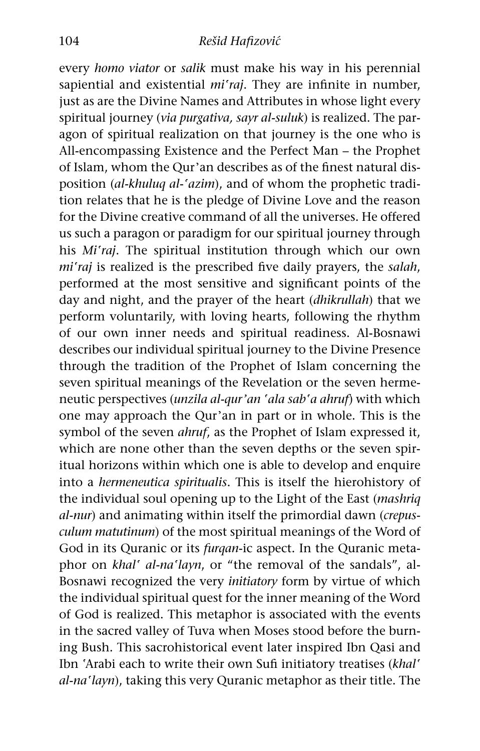every *homo viator* or *salik* must make his way in his perennial sapiential and existential *miªraj*. They are infinite in number, just as are the Divine Names and Attributes in whose light every spiritual journey (*via purgativa, sayr al-suluk*) is realized. The paragon of spiritual realization on that journey is the one who is All-encompassing Existence and the Perfect Man – the Prophet of Islam, whom the Qur'an describes as of the finest natural disposition (*al-khuluq al-ªazim*), and of whom the prophetic tradition relates that he is the pledge of Divine Love and the reason for the Divine creative command of all the universes. He offered us such a paragon or paradigm for our spiritual journey through his *Miªraj*. The spiritual institution through which our own *miªraj* is realized is the prescribed five daily prayers, the *salah*, performed at the most sensitive and significant points of the day and night, and the prayer of the heart (*dhikrullah*) that we perform voluntarily, with loving hearts, following the rhythm of our own inner needs and spiritual readiness. Al-Bosnawi describes our individual spiritual journey to the Divine Presence through the tradition of the Prophet of Islam concerning the seven spiritual meanings of the Revelation or the seven hermeneutic perspectives (*unzila al-qurºan ªala sabªa ahruf*) with which one may approach the Qur'an in part or in whole. This is the symbol of the seven *ahruf*, as the Prophet of Islam expressed it, which are none other than the seven depths or the seven spiritual horizons within which one is able to develop and enquire into a *hermeneutica spiritualis*. This is itself the hierohistory of the individual soul opening up to the Light of the East (*mashriq al-nur*) and animating within itself the primordial dawn (*crepusculum matutinum*) of the most spiritual meanings of the Word of God in its Quranic or its *furqan*-ic aspect. In the Quranic metaphor on *khalª al-naªlayn*, or "the removal of the sandals", al-Bosnawi recognized the very *initiatory* form by virtue of which the individual spiritual quest for the inner meaning of the Word of God is realized. This metaphor is associated with the events in the sacred valley of Tuva when Moses stood before the burning Bush. This sacrohistorical event later inspired Ibn Qasi and Ibn ªArabi each to write their own Sufi initiatory treatises (*khalª al-naªlayn*), taking this very Quranic metaphor as their title. The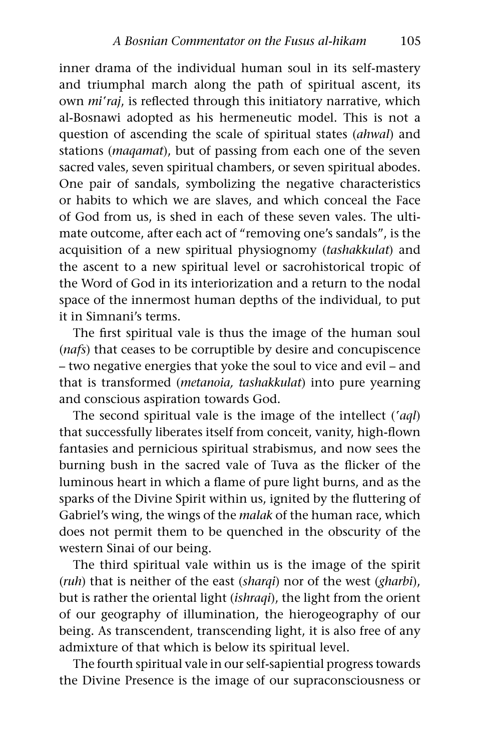inner drama of the individual human soul in its self-mastery and triumphal march along the path of spiritual ascent, its own *miªraj*, is reflected through this initiatory narrative, which al-Bosnawi adopted as his hermeneutic model. This is not a question of ascending the scale of spiritual states (*ahwal*) and stations (*maqamat*), but of passing from each one of the seven sacred vales, seven spiritual chambers, or seven spiritual abodes. One pair of sandals, symbolizing the negative characteristics or habits to which we are slaves, and which conceal the Face of God from us, is shed in each of these seven vales. The ultimate outcome, after each act of "removing one's sandals", is the acquisition of a new spiritual physiognomy (*tashakkulat*) and the ascent to a new spiritual level or sacrohistorical tropic of the Word of God in its interiorization and a return to the nodal space of the innermost human depths of the individual, to put it in Simnani's terms.

The first spiritual vale is thus the image of the human soul (*nafs*) that ceases to be corruptible by desire and concupiscence – two negative energies that yoke the soul to vice and evil – and that is transformed (*metanoia, tashakkulat*) into pure yearning and conscious aspiration towards God.

The second spiritual vale is the image of the intellect (*ªaql*) that successfully liberates itself from conceit, vanity, high-flown fantasies and pernicious spiritual strabismus, and now sees the burning bush in the sacred vale of Tuva as the flicker of the luminous heart in which a flame of pure light burns, and as the sparks of the Divine Spirit within us, ignited by the fluttering of Gabriel's wing, the wings of the *malak* of the human race, which does not permit them to be quenched in the obscurity of the western Sinai of our being.

The third spiritual vale within us is the image of the spirit (*ruh*) that is neither of the east (*sharqi*) nor of the west (*gharbi*), but is rather the oriental light (*ishraqi*), the light from the orient of our geography of illumination, the hierogeography of our being. As transcendent, transcending light, it is also free of any admixture of that which is below its spiritual level.

The fourth spiritual vale in our self-sapiential progress towards the Divine Presence is the image of our supraconsciousness or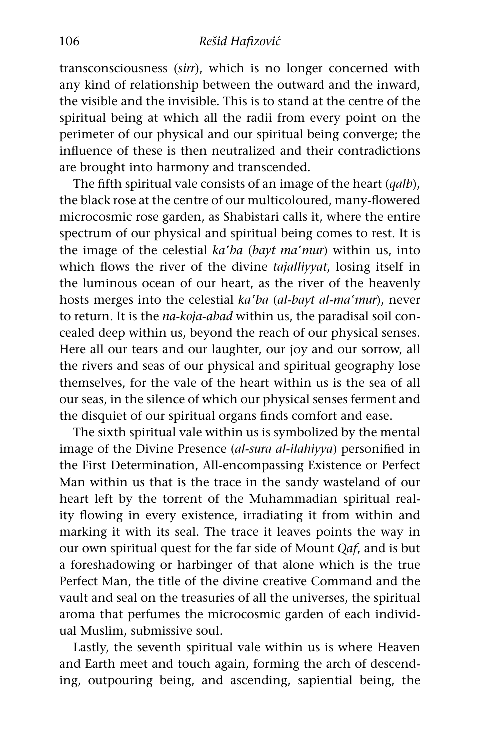transconsciousness (*sirr*), which is no longer concerned with any kind of relationship between the outward and the inward, the visible and the invisible. This is to stand at the centre of the spiritual being at which all the radii from every point on the perimeter of our physical and our spiritual being converge; the influence of these is then neutralized and their contradictions are brought into harmony and transcended.

The fifth spiritual vale consists of an image of the heart (*qalb*), the black rose at the centre of our multicoloured, many-flowered microcosmic rose garden, as Shabistari calls it, where the entire spectrum of our physical and spiritual being comes to rest. It is the image of the celestial *kaªba* (*bayt maªmur*) within us, into which flows the river of the divine *tajalliyyat*, losing itself in the luminous ocean of our heart, as the river of the heavenly hosts merges into the celestial *kaªba* (*al-bayt al-maªmur*), never to return. It is the *na-koja-abad* within us, the paradisal soil concealed deep within us, beyond the reach of our physical senses. Here all our tears and our laughter, our joy and our sorrow, all the rivers and seas of our physical and spiritual geography lose themselves, for the vale of the heart within us is the sea of all our seas, in the silence of which our physical senses ferment and the disquiet of our spiritual organs finds comfort and ease.

The sixth spiritual vale within us is symbolized by the mental image of the Divine Presence (*al-sura al-ilahiyya*) personified in the First Determination, All-encompassing Existence or Perfect Man within us that is the trace in the sandy wasteland of our heart left by the torrent of the Muhammadian spiritual reality flowing in every existence, irradiating it from within and marking it with its seal. The trace it leaves points the way in our own spiritual quest for the far side of Mount *Qaf*, and is but a foreshadowing or harbinger of that alone which is the true Perfect Man, the title of the divine creative Command and the vault and seal on the treasuries of all the universes, the spiritual aroma that perfumes the microcosmic garden of each individual Muslim, submissive soul.

Lastly, the seventh spiritual vale within us is where Heaven and Earth meet and touch again, forming the arch of descending, outpouring being, and ascending, sapiential being, the